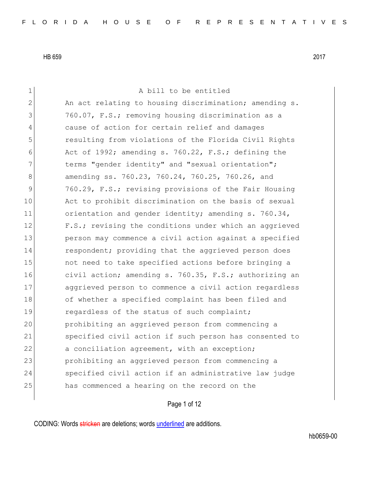| $\mathbf 1$   | A bill to be entitled                                  |
|---------------|--------------------------------------------------------|
| $\mathbf{2}$  | An act relating to housing discrimination; amending s. |
| 3             | 760.07, F.S.; removing housing discrimination as a     |
| 4             | cause of action for certain relief and damages         |
| 5             | resulting from violations of the Florida Civil Rights  |
| 6             | Act of 1992; amending s. 760.22, F.S.; defining the    |
| 7             | terms "gender identity" and "sexual orientation";      |
| 8             | amending ss. 760.23, 760.24, 760.25, 760.26, and       |
| $\mathcal{G}$ | 760.29, F.S.; revising provisions of the Fair Housing  |
| 10            | Act to prohibit discrimination on the basis of sexual  |
| 11            | orientation and gender identity; amending s. 760.34,   |
| 12            | F.S.; revising the conditions under which an aggrieved |
| 13            | person may commence a civil action against a specified |
| 14            | respondent; providing that the aggrieved person does   |
| 15            | not need to take specified actions before bringing a   |
| 16            | civil action; amending s. 760.35, F.S.; authorizing an |
| 17            | aggrieved person to commence a civil action regardless |
| 18            | of whether a specified complaint has been filed and    |
| 19            | regardless of the status of such complaint;            |
| 20            | prohibiting an aggrieved person from commencing a      |
| 21            | specified civil action if such person has consented to |
| 22            | a conciliation agreement, with an exception;           |
| 23            | prohibiting an aggrieved person from commencing a      |
| 24            | specified civil action if an administrative law judge  |
| 25            | has commenced a hearing on the record on the           |
|               |                                                        |

Page 1 of 12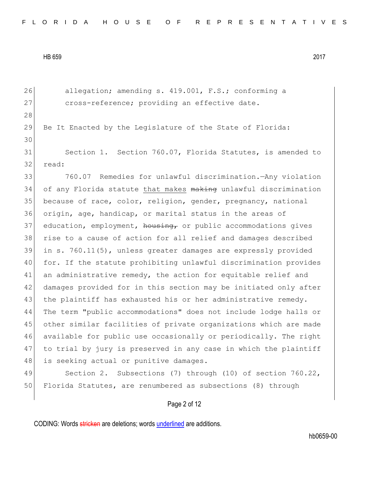26 allegation; amending s. 419.001, F.S.; conforming a 27 cross-reference; providing an effective date. 28 29 Be It Enacted by the Legislature of the State of Florida: 30 31 Section 1. Section 760.07, Florida Statutes, is amended to 32 read: 33 760.07 Remedies for unlawful discrimination.—Any violation 34 of any Florida statute that makes making unlawful discrimination 35 because of race, color, religion, gender, pregnancy, national 36 origin, age, handicap, or marital status in the areas of  $37$  education, employment, housing, or public accommodations gives 38 rise to a cause of action for all relief and damages described 39 in s. 760.11(5), unless greater damages are expressly provided 40 for. If the statute prohibiting unlawful discrimination provides 41 an administrative remedy, the action for equitable relief and 42 damages provided for in this section may be initiated only after 43 the plaintiff has exhausted his or her administrative remedy. 44 The term "public accommodations" does not include lodge halls or 45 other similar facilities of private organizations which are made 46 available for public use occasionally or periodically. The right 47 to trial by jury is preserved in any case in which the plaintiff 48 is seeking actual or punitive damages. 49 Section 2. Subsections (7) through (10) of section 760.22,

Page 2 of 12

50 Florida Statutes, are renumbered as subsections (8) through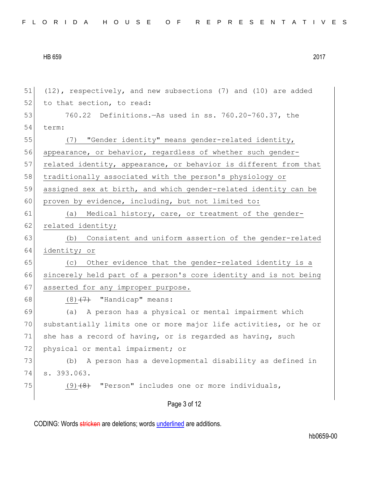| 51 | $(12)$ , respectively, and new subsections (7) and (10) are added |
|----|-------------------------------------------------------------------|
| 52 | to that section, to read:                                         |
| 53 | 760.22 Definitions. - As used in ss. 760.20-760.37, the           |
| 54 | term:                                                             |
| 55 | (7) "Gender identity" means gender-related identity,              |
| 56 | appearance, or behavior, regardless of whether such gender-       |
| 57 | related identity, appearance, or behavior is different from that  |
| 58 | traditionally associated with the person's physiology or          |
| 59 | assigned sex at birth, and which gender-related identity can be   |
| 60 | proven by evidence, including, but not limited to:                |
| 61 | (a) Medical history, care, or treatment of the gender-            |
| 62 | related identity;                                                 |
| 63 | (b) Consistent and uniform assertion of the gender-related        |
| 64 | identity; or                                                      |
| 65 | (c) Other evidence that the gender-related identity is a          |
| 66 | sincerely held part of a person's core identity and is not being  |
| 67 | asserted for any improper purpose.                                |
| 68 | $(8)$ $(7)$ "Handicap" means:                                     |
| 69 | A person has a physical or mental impairment which<br>(a)         |
| 70 | substantially limits one or more major life activities, or he or  |
| 71 | she has a record of having, or is regarded as having, such        |
| 72 | physical or mental impairment; or                                 |
| 73 | A person has a developmental disability as defined in<br>(b)      |
| 74 | s. 393.063.                                                       |
| 75 | "Person" includes one or more individuals,<br>$(9)$ $(8)$         |
|    | Page 3 of 12                                                      |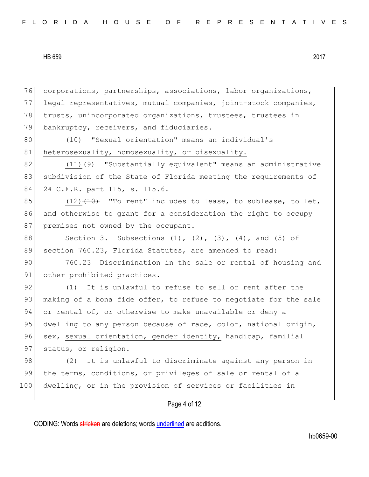76 corporations, partnerships, associations, labor organizations, 77 legal representatives, mutual companies, joint-stock companies, 78 trusts, unincorporated organizations, trustees, trustees in 79 bankruptcy, receivers, and fiduciaries. 80 (10) "Sexual orientation" means an individual's 81 heterosexuality, homosexuality, or bisexuality. 82  $(11)$   $(9)$  "Substantially equivalent" means an administrative 83 subdivision of the State of Florida meeting the requirements of 84 24 C.F.R. part 115, s. 115.6. 85  $(12)$   $(10)$   $(10)$  "To rent" includes to lease, to sublease, to let, 86 and otherwise to grant for a consideration the right to occupy 87 premises not owned by the occupant. 88 Section 3. Subsections  $(1)$ ,  $(2)$ ,  $(3)$ ,  $(4)$ , and  $(5)$  of 89 section 760.23, Florida Statutes, are amended to read: 90 760.23 Discrimination in the sale or rental of housing and 91 other prohibited practices.-92 (1) It is unlawful to refuse to sell or rent after the 93 making of a bona fide offer, to refuse to negotiate for the sale 94 or rental of, or otherwise to make unavailable or deny a 95 dwelling to any person because of race, color, national origin, 96 sex, sexual orientation, gender identity, handicap, familial 97 status, or religion. 98 (2) It is unlawful to discriminate against any person in 99 the terms, conditions, or privileges of sale or rental of a 100 dwelling, or in the provision of services or facilities in

Page 4 of 12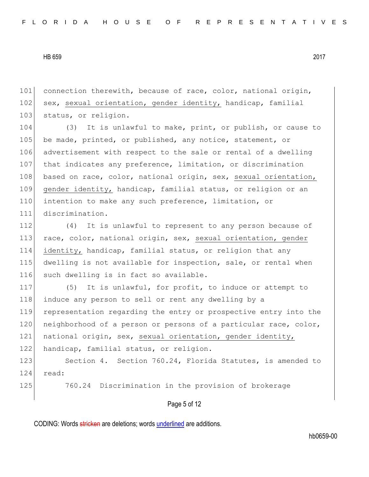101 connection therewith, because of race, color, national origin, 102 sex, sexual orientation, gender identity, handicap, familial 103 status, or religion.

104 (3) It is unlawful to make, print, or publish, or cause to 105 be made, printed, or published, any notice, statement, or 106 advertisement with respect to the sale or rental of a dwelling 107 that indicates any preference, limitation, or discrimination 108 based on race, color, national origin, sex, sexual orientation, 109 gender identity, handicap, familial status, or religion or an 110 intention to make any such preference, limitation, or 111 discrimination.

112 (4) It is unlawful to represent to any person because of 113 race, color, national origin, sex, sexual orientation, gender 114 identity, handicap, familial status, or religion that any 115 dwelling is not available for inspection, sale, or rental when 116 such dwelling is in fact so available.

117 (5) It is unlawful, for profit, to induce or attempt to 118 induce any person to sell or rent any dwelling by a 119 representation regarding the entry or prospective entry into the 120 neighborhood of a person or persons of a particular race, color, 121 national origin, sex, sexual orientation, gender identity, 122 handicap, familial status, or religion.

123 Section 4. Section 760.24, Florida Statutes, is amended to 124 read:

125 760.24 Discrimination in the provision of brokerage

## Page 5 of 12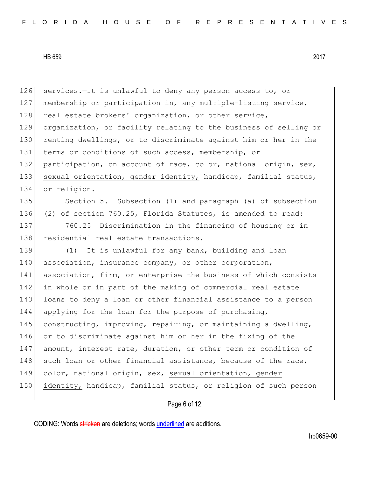126 services.—It is unlawful to deny any person access to, or 127 membership or participation in, any multiple-listing service, 128 real estate brokers' organization, or other service, 129 organization, or facility relating to the business of selling or 130 renting dwellings, or to discriminate against him or her in the 131 terms or conditions of such access, membership, or 132 participation, on account of race, color, national origin, sex, 133 sexual orientation, gender identity, handicap, familial status, 134 or religion. 135 Section 5. Subsection (1) and paragraph (a) of subsection 136 (2) of section 760.25, Florida Statutes, is amended to read: 137 760.25 Discrimination in the financing of housing or in 138 residential real estate transactions.-139 (1) It is unlawful for any bank, building and loan 140 association, insurance company, or other corporation, 141 association, firm, or enterprise the business of which consists 142 in whole or in part of the making of commercial real estate 143 loans to deny a loan or other financial assistance to a person 144 applying for the loan for the purpose of purchasing, 145 constructing, improving, repairing, or maintaining a dwelling, 146 or to discriminate against him or her in the fixing of the 147 amount, interest rate, duration, or other term or condition of 148 such loan or other financial assistance, because of the race, 149 color, national origin, sex, sexual orientation, gender 150 identity, handicap, familial status, or religion of such person

Page 6 of 12

CODING: Words stricken are deletions; words underlined are additions.

hb0659-00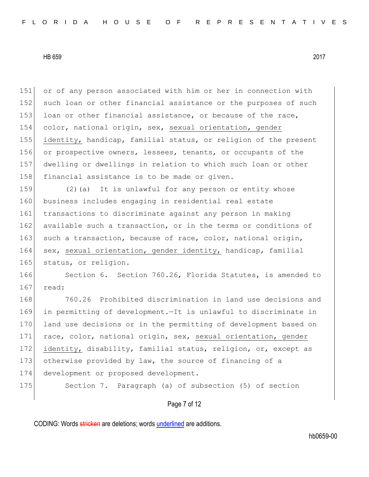or of any person associated with him or her in connection with 152 such loan or other financial assistance or the purposes of such 153 loan or other financial assistance, or because of the race, color, national origin, sex, sexual orientation, gender identity, handicap, familial status, or religion of the present or prospective owners, lessees, tenants, or occupants of the dwelling or dwellings in relation to which such loan or other 158 financial assistance is to be made or given.

159 (2)(a) It is unlawful for any person or entity whose 160 business includes engaging in residential real estate 161 transactions to discriminate against any person in making 162 available such a transaction, or in the terms or conditions of 163 such a transaction, because of race, color, national origin, 164 sex, sexual orientation, gender identity, handicap, familial 165 status, or religion.

166 Section 6. Section 760.26, Florida Statutes, is amended to 167 read:

168 760.26 Prohibited discrimination in land use decisions and 169 in permitting of development.—It is unlawful to discriminate in 170 land use decisions or in the permitting of development based on 171 race, color, national origin, sex, sexual orientation, gender 172 identity, disability, familial status, religion, or, except as 173 otherwise provided by law, the source of financing of a 174 development or proposed development.

175 Section 7. Paragraph (a) of subsection (5) of section

Page 7 of 12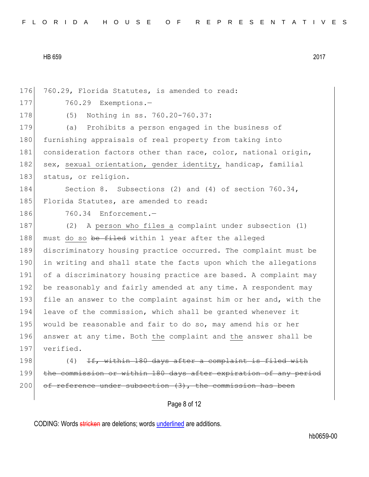176 760.29, Florida Statutes, is amended to read: 177 760.29 Exemptions.-178 (5) Nothing in ss. 760.20-760.37: 179 (a) Prohibits a person engaged in the business of 180 furnishing appraisals of real property from taking into 181 consideration factors other than race, color, national origin, 182 sex, sexual orientation, gender identity, handicap, familial 183 status, or religion. 184 Section 8. Subsections (2) and (4) of section 760.34, 185 Florida Statutes, are amended to read: 186 760.34 Enforcement.-187 (2) A person who files a complaint under subsection (1) 188 must do so be filed within 1 year after the alleged 189 discriminatory housing practice occurred. The complaint must be 190 in writing and shall state the facts upon which the allegations 191 of a discriminatory housing practice are based. A complaint may 192 be reasonably and fairly amended at any time. A respondent may 193 file an answer to the complaint against him or her and, with the 194 leave of the commission, which shall be granted whenever it 195 would be reasonable and fair to do so, may amend his or her 196 answer at any time. Both the complaint and the answer shall be 197 verified.  $198$  (4) <del>If, within 180 days after a complaint is filed with</del> 199 the commission or within 180 days after expiration of any period  $200$  of reference under subsection  $(3)$ , the commission has been

Page 8 of 12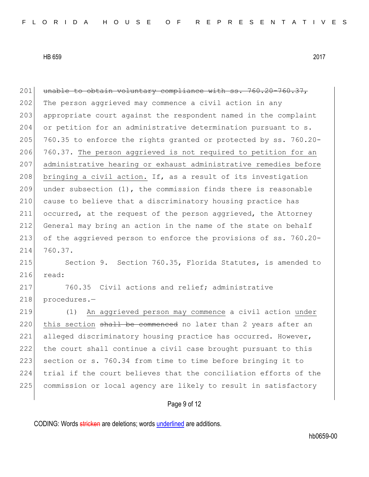201 unable to obtain voluntary compliance with ss. 760.20-760.37, 202 The person aggrieved may commence a civil action in any 203 appropriate court against the respondent named in the complaint 204 or petition for an administrative determination pursuant to s. 205  $|$  760.35 to enforce the rights granted or protected by ss. 760.20-206 760.37. The person aggrieved is not required to petition for an 207 administrative hearing or exhaust administrative remedies before 208 bringing a civil action. If, as a result of its investigation 209 under subsection  $(1)$ , the commission finds there is reasonable 210 cause to believe that a discriminatory housing practice has 211 occurred, at the request of the person aggrieved, the Attorney 212 General may bring an action in the name of the state on behalf 213 of the aggrieved person to enforce the provisions of ss. 760.20- 214 760.37. 215 Section 9. Section 760.35, Florida Statutes, is amended to 216 read: 217 760.35 Civil actions and relief; administrative 218 procedures.-219 (1) An aggrieved person may commence a civil action under  $220$  this section  $\frac{11}{20}$  be commenced no later than 2 years after an 221 alleged discriminatory housing practice has occurred. However, 222 the court shall continue a civil case brought pursuant to this 223 section or s. 760.34 from time to time before bringing it to 224 trial if the court believes that the conciliation efforts of the 225 commission or local agency are likely to result in satisfactory

Page 9 of 12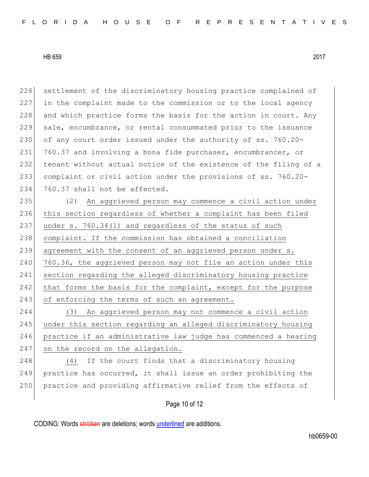226 settlement of the discriminatory housing practice complained of 227 in the complaint made to the commission or to the local agency 228 and which practice forms the basis for the action in court. Any 229 sale, encumbrance, or rental consummated prior to the issuance 230 of any court order issued under the authority of ss. 760.20-231 760.37 and involving a bona fide purchaser, encumbrancer, or 232 tenant without actual notice of the existence of the filing of a 233 complaint or civil action under the provisions of ss. 760.20- 234 760.37 shall not be affected.

235 (2) An aggrieved person may commence a civil action under 236 this section regardless of whether a complaint has been filed 237 under s. 760.34(1) and regardless of the status of such 238 complaint. If the commission has obtained a conciliation 239 agreement with the consent of an aggrieved person under s. 240 760.36, the aggrieved person may not file an action under this 241 section regarding the alleged discriminatory housing practice 242 that forms the basis for the complaint, except for the purpose 243 of enforcing the terms of such an agreement.

244 (3) An aggrieved person may not commence a civil action 245 under this section regarding an alleged discriminatory housing 246 practice if an administrative law judge has commenced a hearing 247 on the record on the allegation.

248 (4) If the court finds that a discriminatory housing 249 practice has occurred, it shall issue an order prohibiting the 250 practice and providing affirmative relief from the effects of

## Page 10 of 12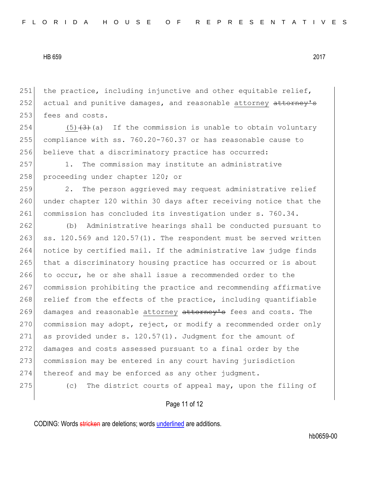251 the practice, including injunctive and other equitable relief, 252 actual and punitive damages, and reasonable attorney attorney's 253 fees and costs.

254  $(5)(3)+(3)$  (a) If the commission is unable to obtain voluntary 255 compliance with ss. 760.20-760.37 or has reasonable cause to 256 believe that a discriminatory practice has occurred:

257 1. The commission may institute an administrative 258 proceeding under chapter 120; or

259 2. The person aggrieved may request administrative relief 260 under chapter 120 within 30 days after receiving notice that the 261 commission has concluded its investigation under s. 760.34.

262 (b) Administrative hearings shall be conducted pursuant to 263 ss. 120.569 and  $120.57(1)$ . The respondent must be served written 264 notice by certified mail. If the administrative law judge finds 265 that a discriminatory housing practice has occurred or is about 266 to occur, he or she shall issue a recommended order to the 267 commission prohibiting the practice and recommending affirmative 268 relief from the effects of the practice, including quantifiable 269 damages and reasonable attorney attorney's fees and costs. The 270 commission may adopt, reject, or modify a recommended order only 271 as provided under s. 120.57(1). Judgment for the amount of 272 damages and costs assessed pursuant to a final order by the 273 commission may be entered in any court having jurisdiction 274 thereof and may be enforced as any other judgment.

275 (c) The district courts of appeal may, upon the filing of

## Page 11 of 12